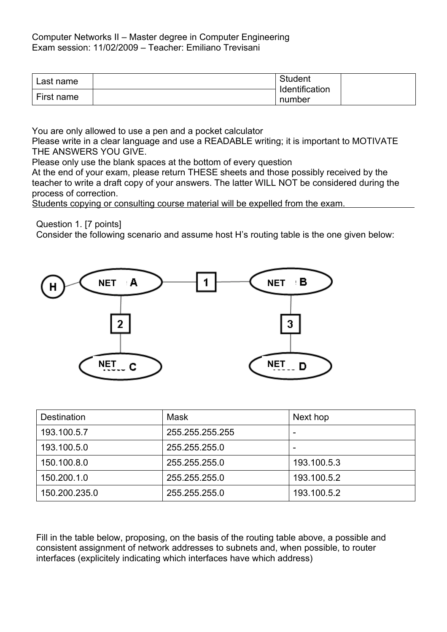| Last name  | Student                  |  |
|------------|--------------------------|--|
| First name | Identification<br>number |  |

You are only allowed to use a pen and a pocket calculator

Please write in a clear language and use a READABLE writing; it is important to MOTIVATE THE ANSWERS YOU GIVE.

Please only use the blank spaces at the bottom of every question

At the end of your exam, please return THESE sheets and those possibly received by the teacher to write a draft copy of your answers. The latter WILL NOT be considered during the process of correction.

Students copying or consulting course material will be expelled from the exam.

Question 1. [7 points]

Consider the following scenario and assume host H's routing table is the one given below:



| <b>Destination</b> | Mask            | Next hop    |
|--------------------|-----------------|-------------|
| 193.100.5.7        | 255.255.255.255 |             |
| 193.100.5.0        | 255.255.255.0   |             |
| 150.100.8.0        | 255.255.255.0   | 193.100.5.3 |
| 150.200.1.0        | 255.255.255.0   | 193.100.5.2 |
| 150.200.235.0      | 255.255.255.0   | 193.100.5.2 |

Fill in the table below, proposing, on the basis of the routing table above, a possible and consistent assignment of network addresses to subnets and, when possible, to router interfaces (explicitely indicating which interfaces have which address)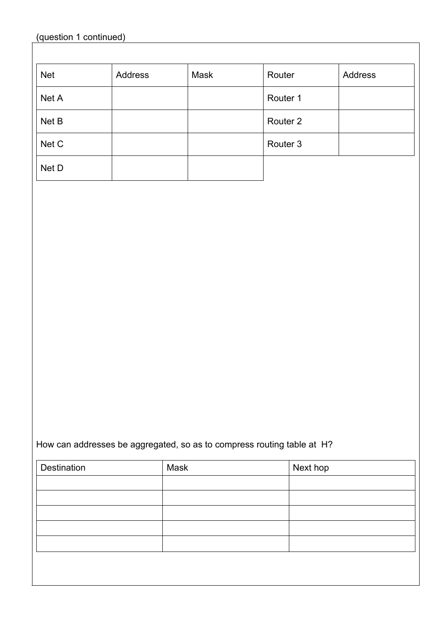| <b>Net</b> | Address | Mask | Router              | <b>Address</b> |
|------------|---------|------|---------------------|----------------|
| Net A      |         |      | Router 1            |                |
| Net B      |         |      | Router <sub>2</sub> |                |
| Net C      |         |      | Router <sub>3</sub> |                |
| Net D      |         |      |                     |                |

## How can addresses be aggregated, so as to compress routing table at H?

| Destination | Mask | Next hop |
|-------------|------|----------|
|             |      |          |
|             |      |          |
|             |      |          |
|             |      |          |
|             |      |          |
|             |      |          |
|             |      |          |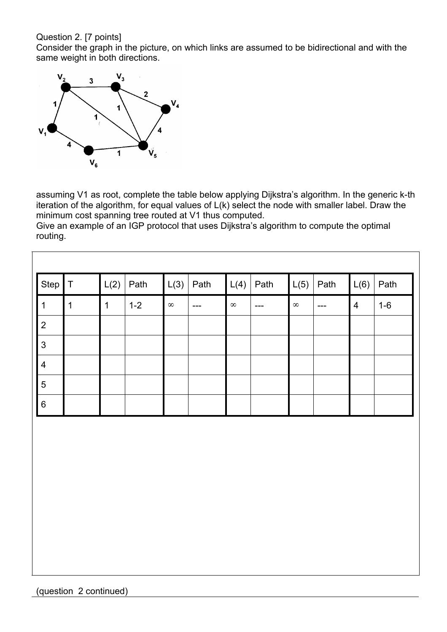## Question 2. [7 points]

Consider the graph in the picture, on which links are assumed to be bidirectional and with the same weight in both directions.



assuming V1 as root, complete the table below applying Dijkstra's algorithm. In the generic k-th iteration of the algorithm, for equal values of L(k) select the node with smaller label. Draw the minimum cost spanning tree routed at V1 thus computed.

Give an example of an IGP protocol that uses Dijkstra's algorithm to compute the optimal routing.

| Step           | $\top$ | L(2)        | Path    | L(3)     | Path  | L(4)          | Path  | L(5)     | Path  | L(6) | Path  |
|----------------|--------|-------------|---------|----------|-------|---------------|-------|----------|-------|------|-------|
| 1              | 1      | $\mathbf 1$ | $1 - 2$ | $\infty$ | $---$ | ${}^{\infty}$ | $---$ | $\infty$ | $---$ | 4    | $1-6$ |
| 2              |        |             |         |          |       |               |       |          |       |      |       |
| $\mathbf{3}$   |        |             |         |          |       |               |       |          |       |      |       |
| $\overline{4}$ |        |             |         |          |       |               |       |          |       |      |       |
| 5              |        |             |         |          |       |               |       |          |       |      |       |
| $6\phantom{1}$ |        |             |         |          |       |               |       |          |       |      |       |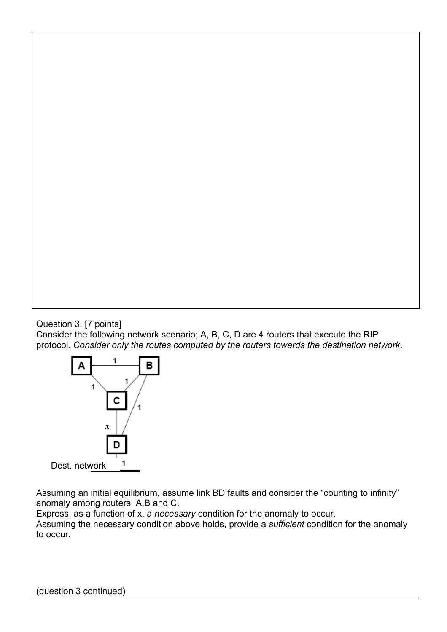Question 3. [7 points]

Consider the following network scenario; A, B, C, D are 4 routers that execute the RIP protocol. *Consider only the routes computed by the routers towards the destination network*.



Assuming an initial equilibrium, assume link BD faults and consider the "counting to infinity" anomaly among routers A,B and C.

Express, as a function of x, a *necessary* condition for the anomaly to occur. Assuming the necessary condition above holds, provide a *sufficient* condition for the anomaly to occur.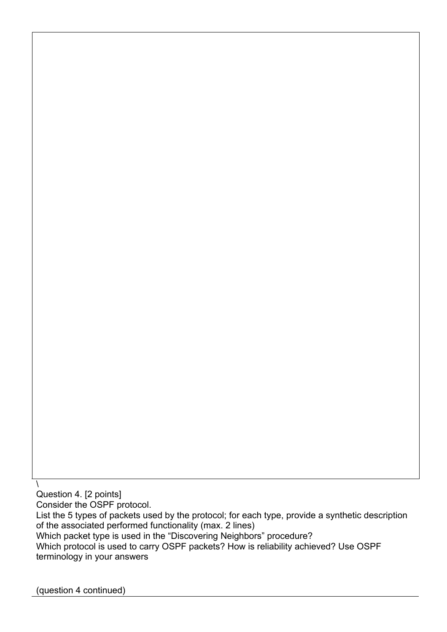Question 4. [2 points]

 $\lambda$ 

Consider the OSPF protocol.

List the 5 types of packets used by the protocol; for each type, provide a synthetic description of the associated performed functionality (max. 2 lines)

Which packet type is used in the "Discovering Neighbors" procedure?

Which protocol is used to carry OSPF packets? How is reliability achieved? Use OSPF terminology in your answers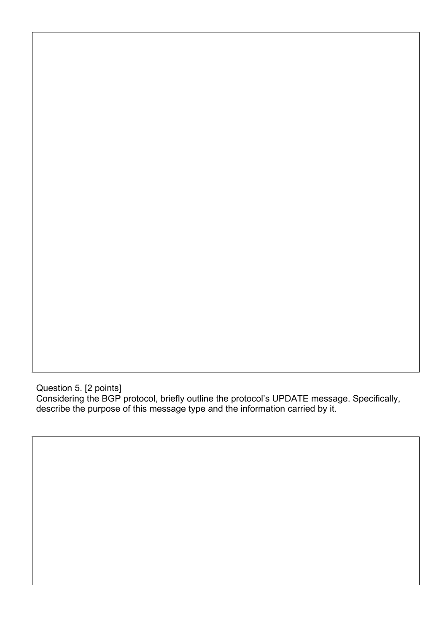Question 5. [2 points] Considering the BGP protocol, briefly outline the protocol's UPDATE message. Specifically, describe the purpose of this message type and the information carried by it.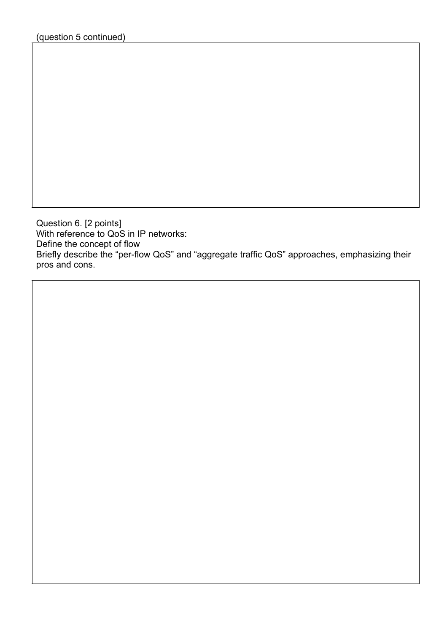Question 6. [2 points] With reference to QoS in IP networks: Define the concept of flow Briefly describe the "per-flow QoS" and "aggregate traffic QoS" approaches, emphasizing their pros and cons.